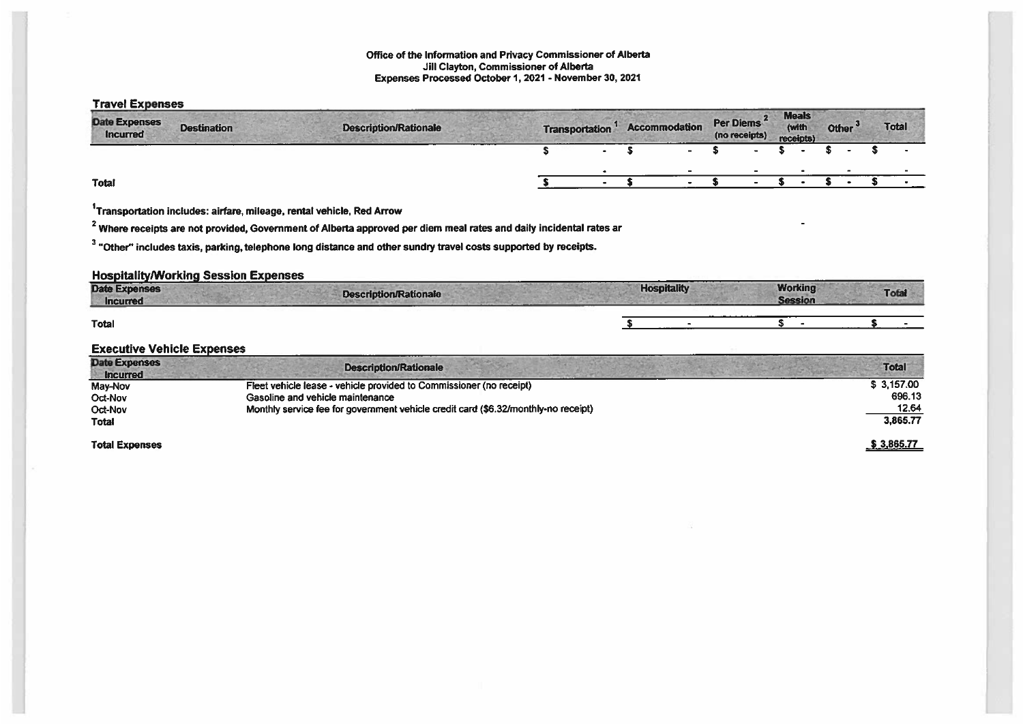#### Office of the Information and Privacy Commissioner of Alberta Jill Clayton, Commissioner of Alberta Expenses Processed October 1,2021 - November 30, 2021

| <b>Travel Expenses</b>                  |                                             |                                                                                                                              |                       |                      |                                   |       |                                    |                    |                 |
|-----------------------------------------|---------------------------------------------|------------------------------------------------------------------------------------------------------------------------------|-----------------------|----------------------|-----------------------------------|-------|------------------------------------|--------------------|-----------------|
| <b>Date Expenses</b><br><b>Incurred</b> | <b>Destination</b>                          | <b>Description/Rationale</b>                                                                                                 | <b>Transportation</b> | <b>Accommodation</b> | <b>Per Diems</b><br>(no receipts) |       | <b>Meals</b><br>(with<br>receipts) | Other <sup>3</sup> | <b>Total</b>    |
|                                         |                                             |                                                                                                                              |                       |                      |                                   |       |                                    |                    |                 |
|                                         |                                             |                                                                                                                              |                       |                      |                                   |       |                                    |                    |                 |
| Total                                   |                                             |                                                                                                                              |                       |                      |                                   |       |                                    |                    |                 |
|                                         |                                             | <sup>1</sup> Transportation includes: airfare, mileage, rental vehicle, Red Arrow                                            |                       |                      |                                   |       |                                    |                    |                 |
|                                         |                                             | $^{\rm Z}$ Where receipts are not provided, Government of Alberta approved per diem meal rates and daily incidental rates ar |                       |                      |                                   |       |                                    |                    |                 |
|                                         |                                             | <sup>3</sup> "Other" includes taxis, parking, telephone long distance and other sundry travel costs supported by receipts.   |                       |                      |                                   |       |                                    |                    |                 |
|                                         | <b>Hospitality/Working Session Expenses</b> |                                                                                                                              |                       |                      |                                   |       |                                    |                    |                 |
| <b>Date Expenses</b><br><b>Incurred</b> |                                             | <b>Description/Rationale</b>                                                                                                 |                       | <b>Hospitality</b>   |                                   |       | <b>Working</b><br><b>Session</b>   |                    | <b>Total</b>    |
| <b>Total</b>                            |                                             |                                                                                                                              |                       |                      |                                   | $s -$ |                                    |                    |                 |
| <b>Executive Vehicle Expenses</b>       |                                             |                                                                                                                              |                       |                      |                                   |       |                                    |                    |                 |
| <b>Date Expenses</b><br><b>Incurred</b> |                                             | <b>Description/Rationale</b>                                                                                                 |                       |                      |                                   |       |                                    |                    | <b>Total</b>    |
| May-Nov                                 |                                             | Fleet vehicle lease - vehicle provided to Commissioner (no receipt)                                                          |                       |                      |                                   |       |                                    |                    | \$3,157.00      |
| Oct-Nov<br><b>Oct-Nov</b>               |                                             | Gasoline and vehicle maintenance<br>Monthly service fee for government vehicle credit card (\$6.32/monthly-no receipt)       |                       |                      |                                   |       |                                    |                    | 696.13<br>12.64 |
| <b>Total</b>                            |                                             |                                                                                                                              |                       |                      |                                   |       |                                    |                    | 3,865.77        |
| <b>Total Expenses</b>                   |                                             |                                                                                                                              |                       |                      |                                   |       |                                    |                    | \$3,865.77      |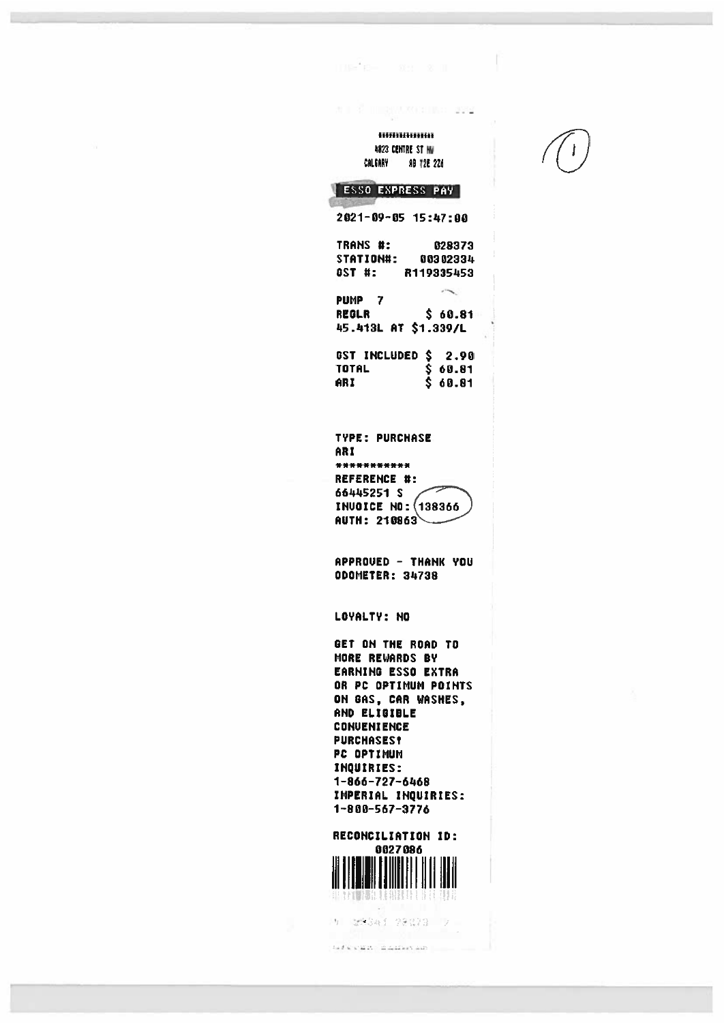#### Himilimum 4823 CENT8E ST HU CALGARY **AB T2E 2Z6**

AT RESIDENCE AND A

 $\mathbb{E}[\mathbb{E}^2\mathbb{E}]=\mathbb{E}\mathbb{E}[-\mathbb{E}\times \mathbb{E}].$ 

| ESSO EXPRESS PAY                  |
|-----------------------------------|
| 2021-09-05 15:47:00               |
| TRANS #:<br>628373                |
| <b>:#KOITAT2</b><br>00302334      |
| GST #:<br>R119335453              |
| PUMP<br>7                         |
| \$ 60.81<br>REGLR                 |
| 45.413L AT \$1.339/L              |
| \$<br><b>GST INCLUDED</b><br>2.90 |
| \$<br>TOTAL<br>60.81              |
| AR I<br>60.81                     |

TYPE: PURCHASE AR! \*\*\*\*\*\*\*\*\*\*\* REFERENCE #: 66445251 S INUOICE NO: (138366  $AUTH: 210863$ 

APPROUED — THANK YOU ODOMETER: 34738

LOYALTY: NO

GET ON THE ROAD TO MORE REWARDS DY EARNING ESSO EXTRA OR PC OPTIMUM POINTS ON GAS, CAR WASHES, AND ELIGIBLE CONUENIENCE PURCHASES? PC OPTIMUM INQUIRIES: 1—866—727—6468 IMPERIAL INQUIRIES: 1—800—567—3776

RECONCILIATION ID: 0027086



(5) 試験時間 28番23 プー

 $\delta$  of  $\delta$  scalars in distance and  $\gamma$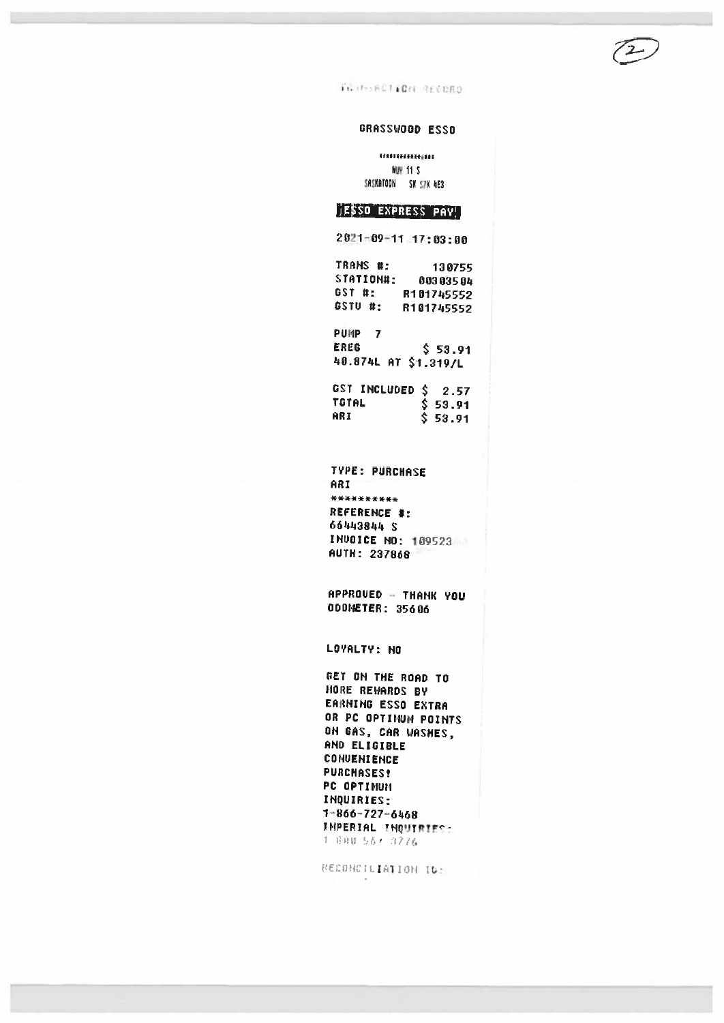TERRATION RECORD

### GRASSWOOD ESSO

**BABBAHARIER HUY 11 S** SASKATOON SK SZK 4E3

## ESSO EXPRESS PAY

 $2021 - 09 - 11$  17:03:00

TRANS #: 130755 STATION#: 00303504 GST #: R101745552 GSTU #: R101745552

PUMP<sub>7</sub> **EREG**  $$53.91$ 40.874L AT \$1.319/L

GST INCLUDED \$ 2.57 TOTAL \$ 53.91 ARI  $$53.91$ 

TYPE: PURCHASE ARI \*\*\*\*\*\*\*\*\*\* REFERENCE #: 66443844 \$ INVOICE NO: 109523 **AUTH: 237868** 

APPROVED - THANK YOU 000FETER: 35606

LOYALTY: NO

GET ON THE ROAD TO MORE REWARDS BY EARNING ESSO EXTRA OR PC OPTINUM POINTS ON GAS, CAR WASHES, AND ELIGIBLE **CONVENIENCE PURCHASES!** PC OPTIMUM INQUIRIES:  $1 - 866 - 727 - 6468$ IMPERIAL INQUIRIES: 1 800 561 3776

ECONCILIATION ID: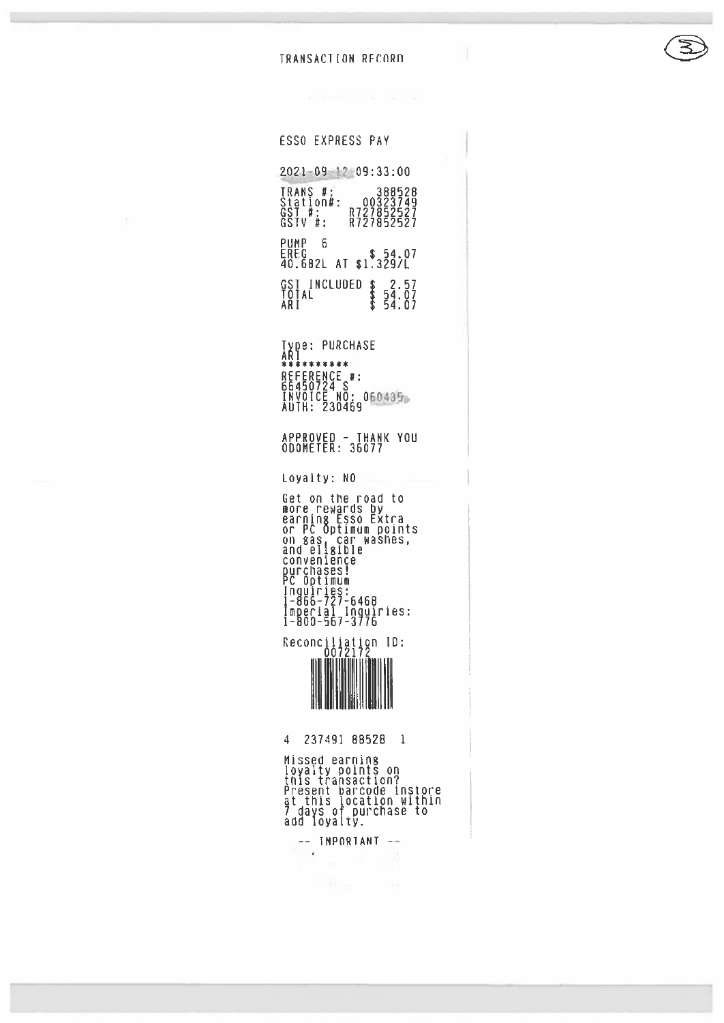#### TRANSACTION RECORD

ESSO EXPRESS PAY 202L-O2-17 09:33:00 TRANS #: 388528 Station#: 00323749 GST #: 0727852527 GSTV #: R727852527 PUMP B EREG \$ 54.07 40.682L AT \$1.329/L GST INCLUDED \$ 2.57<br>TOTAL \$ 54.07 ARE \$ 54.01 Type: PURCHASE<br>ARI<br>\*\*\*\*\*\*\*\*\*\*\*\* **REFERENCE #** 66450724 S INVOICE NO: 060435 AUTH: 230469 APPROVED — THANK YOU ODOMETER: 36077 Loyalty: NO Get on the road to more rewards by<br>earning Esso Extra or PC Optiwuw points on gas, car washes<br>and eligible<br>convenience<br>purchases!<br>Inquiries:<br>Inquiries:<br>1-866-727-6468 Imperial Inquiries<br>1-800-567-3776 Reconciliation ID<br>- 0072172 4 231491 88528 1 Missed earning<br>loyalty points on<br>this transaction? Present barcode instore at this location within 7 days of purchase to<br>add loyalty.

 $\frac{1}{\|f\|_{\infty}}$  IMPORTANT  $\frac{1}{\|f\|_{\infty}}$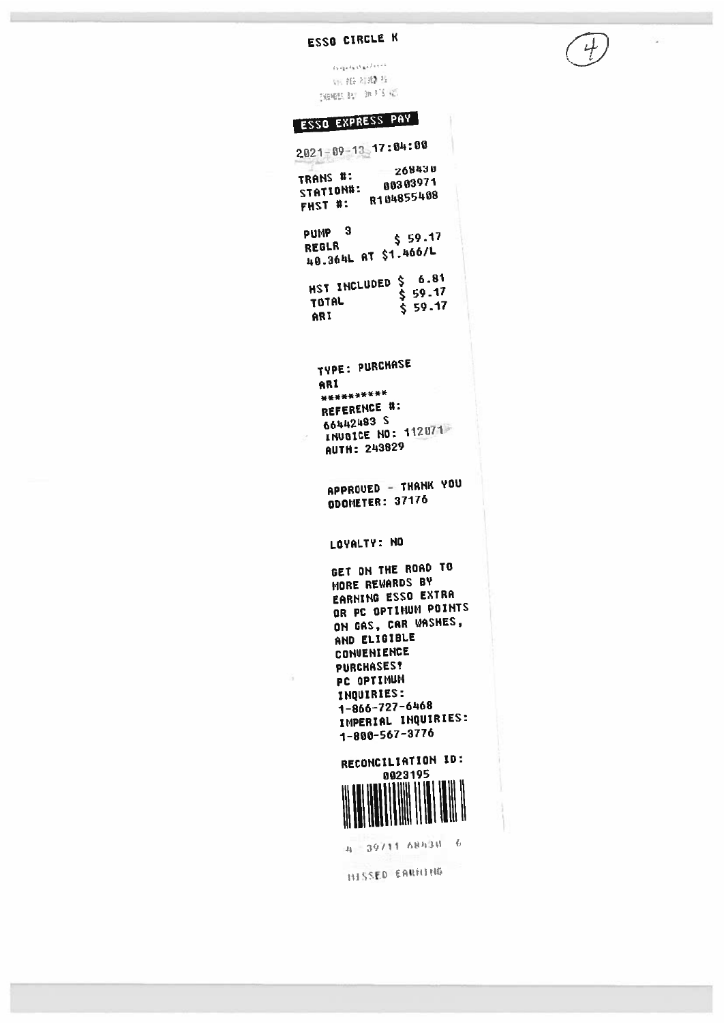# ESSO CIRCLE K

ü

 $\frac{1}{t}$ 

 $\alpha$  is a state of  $\alpha$  $\gamma_{\rm B}$ gg atal $\eta_{\rm c}$ **SHORES BY BEFTS INC.** 

# **ESSO EXPRESS PAY**

| $2021 - 09 - 13 - 17:84:88$<br>$-268430$<br>TRANS #:<br>TRANS #:<br>STATION#: 80303971<br>----- #: R104855408                                                                                                                                                                                 |  |
|-----------------------------------------------------------------------------------------------------------------------------------------------------------------------------------------------------------------------------------------------------------------------------------------------|--|
| PUMP <sub>3</sub><br>\$59.17<br>REGLR<br>48.364L AT \$1.466/L                                                                                                                                                                                                                                 |  |
| $$6.81$<br>$$9.17$<br>HST INCLUDED<br>TOTAL<br>\$59.17<br>ARI                                                                                                                                                                                                                                 |  |
| <b>TYPE: PURCHASE</b><br>ARI<br>**********<br>REFERENCE #:<br>66442483 S<br>INUGICE NO: 112071<br><b>AUTH: 243829</b>                                                                                                                                                                         |  |
| APPROUED - THANK YOU<br>ODOMETER: 37176                                                                                                                                                                                                                                                       |  |
| LOYALTY: NO<br>GET ON THE ROAD TO<br><b>MORE REWARDS BY</b><br><b>EARNING ESSO EXTRA</b><br>OR PC OPTIMUM POINTS<br>ON GAS, CAR WASHES,<br>AND ELIGIBLE<br>CONVENIENCE<br><b>PURCHASES!</b><br>PC.<br>OPTIMUM<br><b>INQUIRIES:</b><br>1-866-727-6468<br>IMPERIAL INQUIRIES:<br>1-800-567-3776 |  |
| RECONCILIATION ID:<br>0023195                                                                                                                                                                                                                                                                 |  |

4 39711 68438 6

**HISSED EARNING**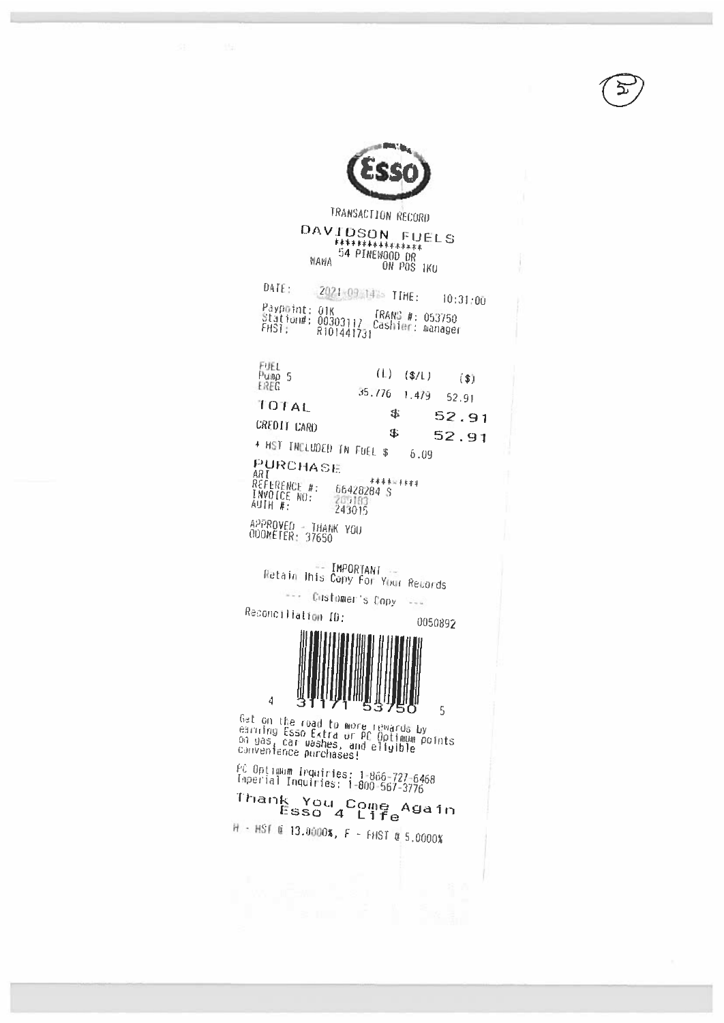

TRANSACTION RECORD DAVIDSON FUELS<br>
\*\*\*\*\*\*\*\*\*\*\*\*\*<br>
54 PINEWOOD OR<br>
0N POS IKU

DATE: 2021-09 14% TIME:  $10:31:00$ Paypoint: 01K<br>Station#: 00303117 [RANS #: 053750<br>FHST: R101441731

| FUEL<br>Pump 5<br>EREG                        |                      | $(L)$ (\$/L) | (S)            |
|-----------------------------------------------|----------------------|--------------|----------------|
| <b>FOTAL</b><br><b>CREDIT CARD</b>            | $35.776$ 1.479<br>\$ |              | 52.91<br>52.91 |
| + HST INCLUDED IN FUEL \$<br>PURCHASE<br>AD F | \$.                  | 6.09         | 52.91          |

ARI \*\*\*\*<br>REFERENCE #: 66428284 S<br>INVOICE NO: 205183<br>AUTH #: 243015 \*\*\*\*\*\*\*\*\* APPROVED - THANK YOU<br>ODOMETER: 37650

Retain Inis Copy For Your Revords --- Customer's Copy ---

Reconciliation ID:

 $\overline{4}$ 



 $\overline{5}$ 

Gat on the road to more rewards by<br>earning Esso Extra or PC Optimum points<br>on yas, car washes, and eligible<br>convenience purchases!

РС Орtimum Inquiries: 1-866-727-6468<br>Imperial Inquiries: 1-800-567-3776

Thank You Come Again<br>Esso 4 Life

H - HST @ 13.0000%, F - FHST @ 5.0000%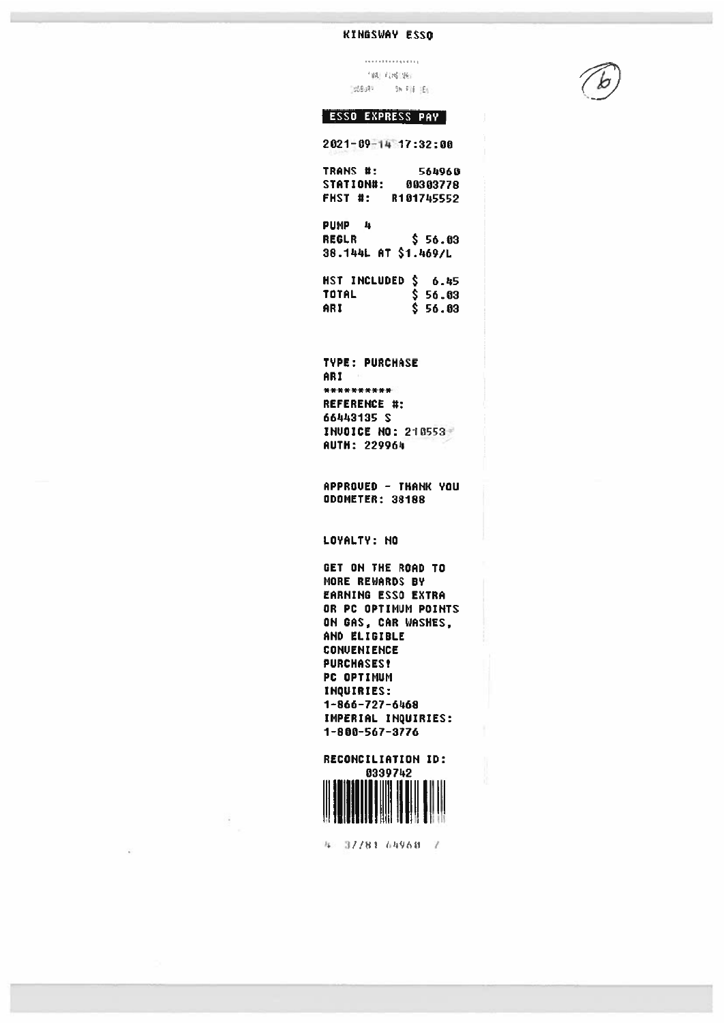### KINGSWAY ESSO

. . . . . . . . . . . . . . . . 184 内部地位 TOSBURY - SHIFTE TEN



### ESSO EXPRESS PAY

2021-09-14 17:32:00

| TRANS #:                    | 564960               |
|-----------------------------|----------------------|
| STATION#:                   | 00303778             |
| FHST #:                     | R101745552           |
| PUMP<br>- 4                 |                      |
| REGLR                       | \$56.03              |
| <b>38.144L AT \$1.469/L</b> |                      |
| HST INCLUDED \$             | 6.45                 |
| TOTAL                       | \$ 56.03<br>\$ 56.03 |
| AR I                        |                      |
|                             |                      |
| <b>TYPE: PURCHASE</b>       |                      |
| ARI                         |                      |
| **********                  |                      |
| REFERENCE #:                |                      |
|                             |                      |

66442135 S INUDICE ND: 210553 AUTH: 229964

APPROUED - THANK YOU ODOMETER: 38188

LOYALTY: NO

GET ON THE ROAD TO MORE REWARDS DY EARNING ESSO EXTRA OR PC OPTIMUM POINTS ON GAS, CAR WASHES, AND ELIGIBLE **CONUENIENCE** PURCHASES? PC OPTIMUM INQUIRIES: 1—866—727—6468 IMPERIAL INQUIRIES: 1—800—567—3776



32/81 64968 F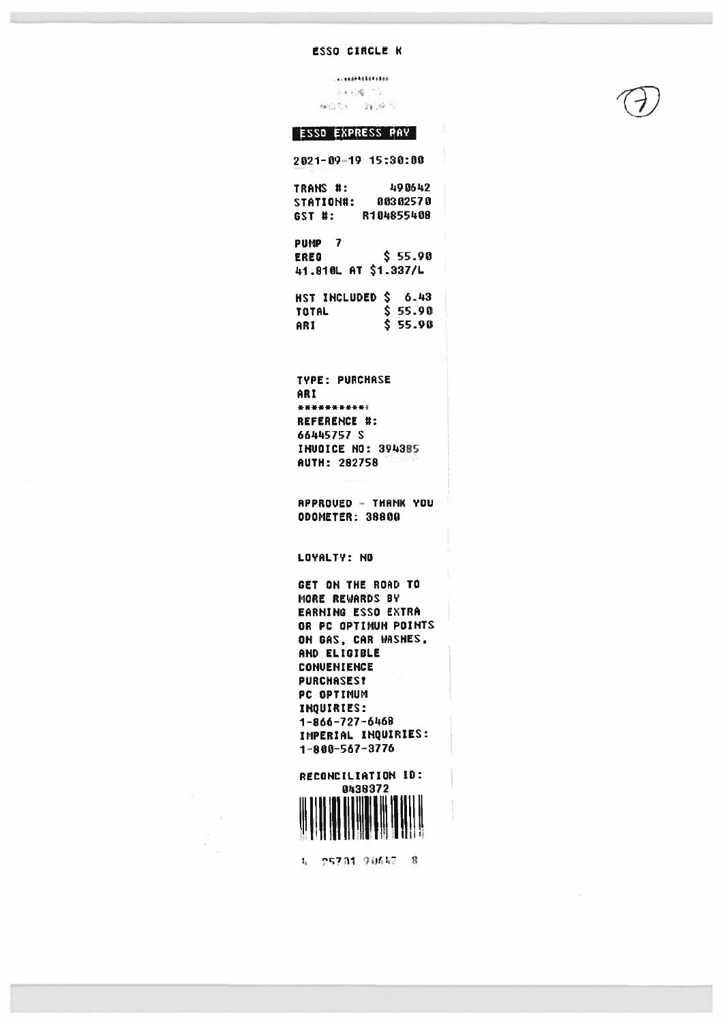#### **ESSO CIRCLE K**

 $.........b$  +  $b$  +  $b$  +  $b$  +  $b$  +  $b$  +  $b$  +  $b$  +  $b$  +  $b$  +  $b$  +  $b$  +  $b$  +  $b$  +  $b$  +  $b$  +  $b$  +  $b$  +  $b$  +  $b$  +  $b$  +  $b$  +  $b$  +  $b$  +  $b$  +  $b$  +  $b$  +  $b$  +  $b$  +  $b$  +  $b$  +  $b$  +  $b$  +  $b$  +  $b$  +  $b$  +  $b$  $5 + 18 - 15$ 機能力 新規局

#### **ESSO EXPRESS PAY**

 $2021 - 09 - 19$  15:30:00

TRANS #: 490642 STATION#: 00302570 GST #: R104855408 PUMP<sub>7</sub> \$ 55.90 **EREG** 41.810L AT \$1.337/L HST INCLUDED \$ 6.43 TOTAL \$55.90  $$55.90$ ARI

TYPE: PURCHASE ARI \*\*\*\*\*\*\*\*\*\*\* REFERENCE #: 66445757 S INUDICE NO: 394385 AUTH: 282758

APPROUED - THANK YOU **ODOMETER: 38800** 

LOYALTY: NO

GET ON THE ROAD TO MORE REWARDS BY EARNING ESSO EXTRA OR PC OPTIMUM POINTS ON GAS, CAR WASHES, AND ELIGIBLE CONVENIENCE **PURCHASES!** PC OPTIMUM INQUIRIES: 1-866-727-6468 IMPERIAL INQUIRIES:  $1 - 800 - 567 - 3776$ 



4 25781 90642 8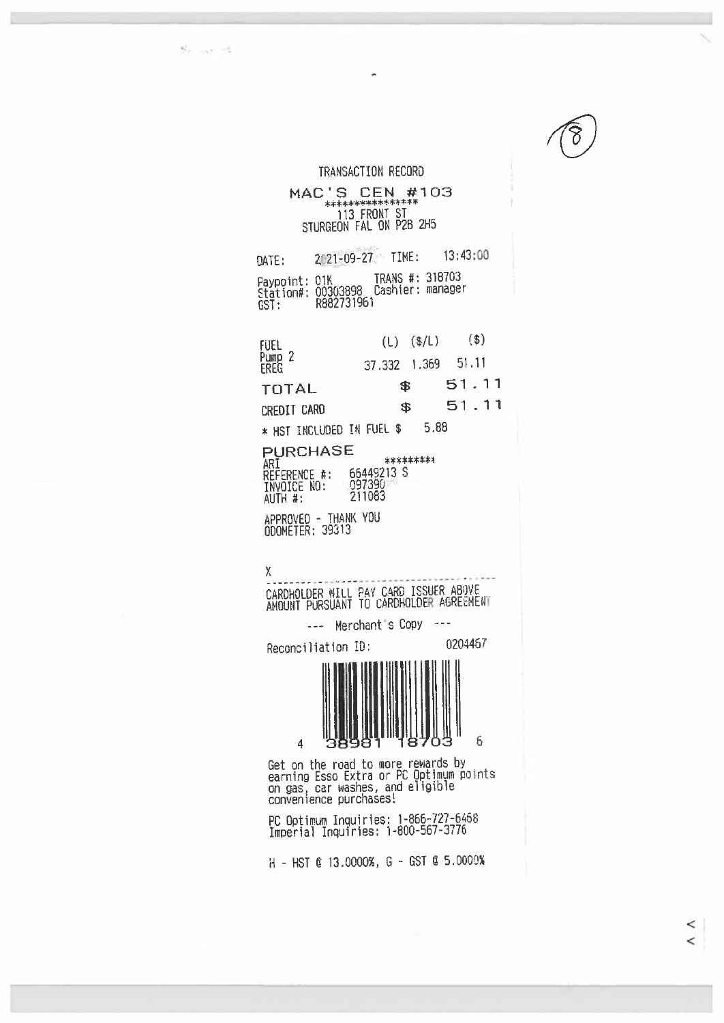$\mathbb{S}^1_{\mathcal{N}_1,\ldots,\mathcal{N}_n}=\mathbb{S}$ 

 $\,<\,$  $\overline{a}$ 

TRANSACTION RECORD MAC'S CEN #103 113 FRONT ST STUQGEON FAL ON P28 2H5 DATE: 2021-09-27 TIME: 13:43:00 Paypoint: 31K TRANS #: <sup>316703</sup> Station#: <sup>00303693</sup> Cashier: canager GST: R882731961 FUEL (L) (\$/L) (\$)<br>Pump 2 2 2 2 2 3 4 2 5 6 5 1 1 1 Punip 2 37.332 1.369 51.11 TOTAL \$ <sup>51</sup> . <sup>11</sup> CREDITCARD \$ <sup>51</sup> .11 \* HST INCLUDED TN FUEL \$ 5,88 PURCHASE \*\*\*\*\*\*\*\*\* ARI REFERENCE #: 65492)3 S TNYOICE NO: 097390<br>AUTH #: 211083 INVOICE NO: nPPROVEO - THANK YOU 000METER: 39313 K CARDHOLDER WILL PAY CARD ISSUER ABOVE ANOUNT PURSUANT TO CARDHOLDER AGREEMENT --- Merchant's Copy Reconciliation ID: 0204467 4 38981 18703 6 Get on the road to more rewards by earning Esso Extra or PC Optimum points on gas, car washes, and eligible<br>convenience purchases! PC Optimum Inquiries: 1-866-727-6468<br>Imperial Inquiries: 1-800-567-3776

 $H - HST C 13.0000$ %,  $G - GST C 5.0000$ %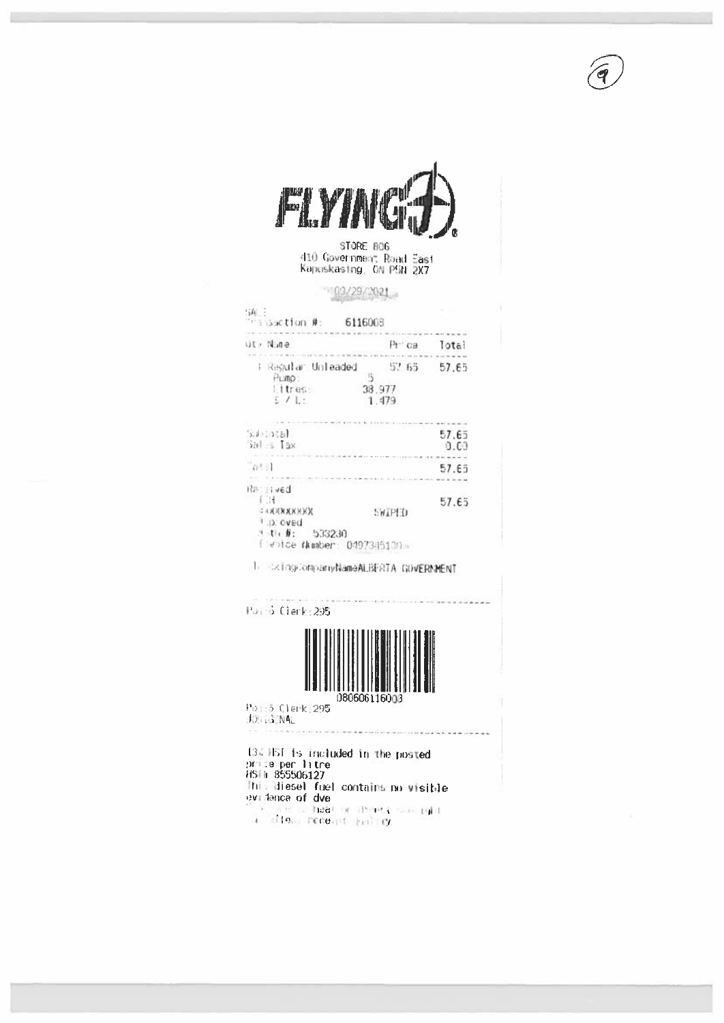

STORE 806 410 Government Road East<br>Kapuskastng, ON PSN 2X7

### 100/29/2021

| $\sim$ issotion #: $-$ 6116008                                                                    |                                |               |
|---------------------------------------------------------------------------------------------------|--------------------------------|---------------|
| Ghill it                                                                                          | Prince                         | lotal         |
| i Regular Unleaded<br>5<br>Pump:<br>Litres:<br>$\frac{1}{2}$ / 1.1                                | 57 65 57.65<br>38.977<br>1.479 |               |
| 3.1:3.8<br>$30 - 5$ Tax                                                                           |                                | 57.65<br>0.00 |
| $W^{[1,2]}$                                                                                       |                                | 57.65         |
| RETTIVED<br>£0H<br>XXXXXXXXX<br>1.p. oved<br>$4 + 1 + 6: 533230$<br>[ voice Number: 0497345130. . | SWIPHD                         | 57.65         |

1 ExingEompanyNameALBERTA GOVERNMENT

Poss6 Clerk:295 080606116003 Poi:5 Clerk:295 **FOR GENAL** of the adjournment of the process of the adjourn-This diesel fuel contains no visible

evidence of dve<br>
evidence of dve<br>
evidence of dve<br>
evidence of dve<br>
evidence of dve<br>
evidence of dve<br>
evidence of dve<br>
evidence of dve<br>
evidence of dve<br>
evidence of dve<br>
evidence of dve<br>
evidence of dve<br>
evidence of dve<br>
e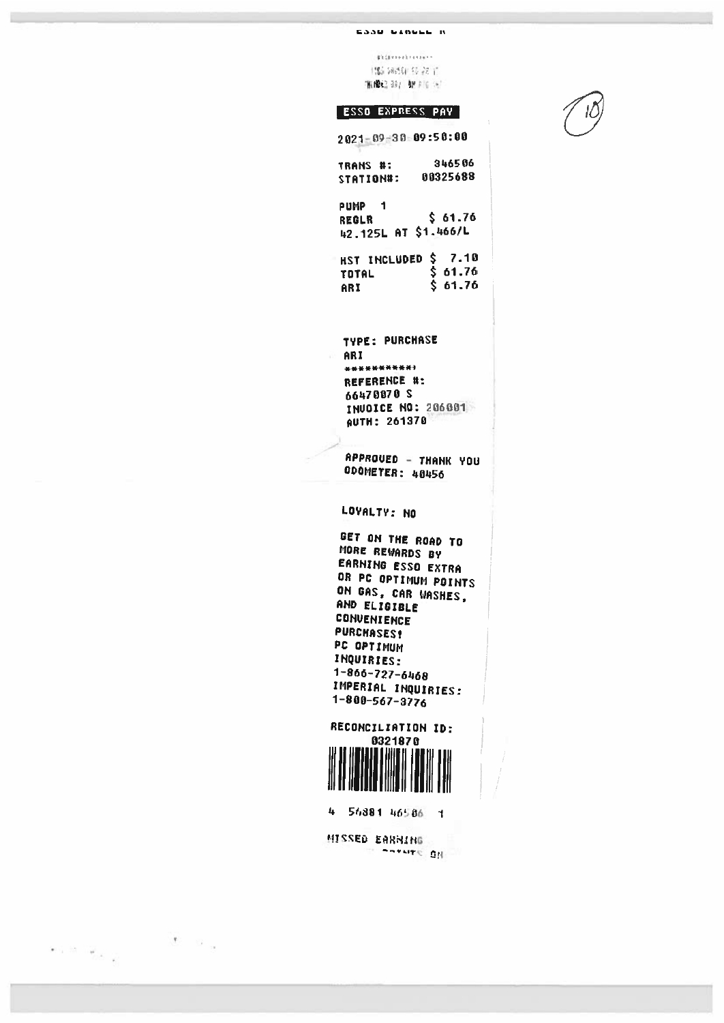#### ESSU VINULL IN

**Billinehrenne** (版) 网络中转花了 /Hinde3.307 02 876 067

#### **ESSO EXPRESS PAY**

 $2021 - 09 - 30 = 09 : 50 : 00$ 346506 TRANS #: STATION#: 00325688

PUMP<sub>1</sub>  $$61.76$ REGLR 42.125L AT \$1.466/L

HST INCLUDED \$ 7.10<br>TOTAL \$ 61.76<br>ARI \$ 61.76 ARI

**TYPE: PURCHASE** ARI \*\*\*\*\*\*\*\*\*\*\* REFERENCE #: 66470070 S INVOICE NO: 206001 AUTH: 261370

APPROUED - THANK YOU **ODOMETER: 48456** 

LOYALTY: NO

GET ON THE ROAD TO MORE REWARDS BY EARNING ESSO EXTRA OR PC OPTIMUM POINTS ON GAS, CAR WASHES, AND ELIGIBLE CONVENIENCE **PURCHASES?** PC OPTIMUM INQUIRIES: 1-866-727-6468 IMPERIAL INQUIRIES: 1-800-567-3776



4 56881 46586 1

 $\mathcal{F}=\mathcal{G}_{\mathcal{A}}$ 

 $\label{eq:2.1} \mathbb{E}[\mathbf{q}]\geq \mathbb{E}[\mathbf{q}]\frac{1}{\sqrt{2}}\mathbb{E}[\mathbf{q}]\frac{1}{\sqrt{2}}$ 

MISSED EARNING **HD PERFECT**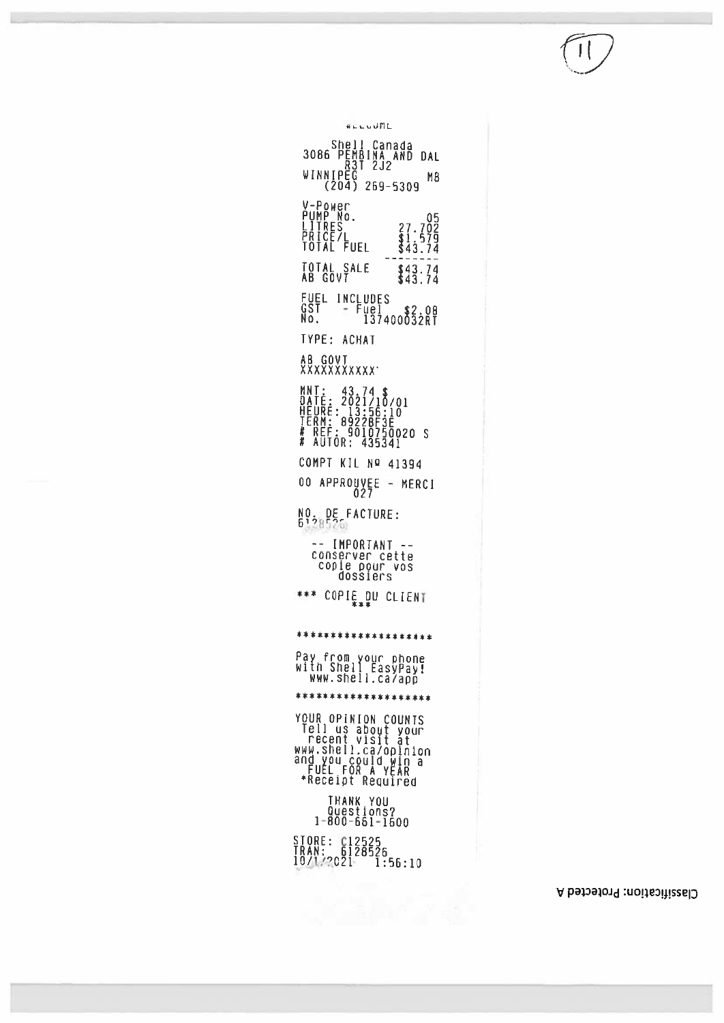### Classification: Protected A

3086 PEMBINA AND DAL<br>3086 PEMBINA AND DAL<br>WINNIPEG<br>204) 269-5309 MB V-Power<br>PUMP No.<br>LITRES<br>PRICE/L<br>POTAL FUEL  $\begin{array}{c} 27.702 \\ 1.579 \\ 1.579 \\ 43.74 \end{array}$  $\sim$   $\sim$ TOTAL SALE<br>AB GOVT  $$43.74$ <br> $$43.74$ FUEL INCLUDES<br>GST - Fuel \$2.08<br>No. 137400032RT TYPE: ACHAT AB GOVT<br>XXXXXXXXXXX MNT: 43.74 \$<br>DATE: 2021/10/01<br>HEURE: 13:56:10<br>TERM: 89228F3E<br># REF: 9010750020 S<br># AUTOR: 435341 COMPT KIL Nº 41394 00 APPROUVEE - MERCI NO. DE FACTURE:<br>6128526 -- IMPORTANT<br>conserver cette<br>copie pour vos<br>dossiers \*\*\* COPIE.DU CLIENT \*\*\*\*\*\*\*\*\*\*\*\*\*\*\*\*\*\*\*\* Pay from your phone<br>With Shell EasyPay!<br>WWW.shell.ca/app \*\*\*\*\*\*\*\*\*\*\*\*\*\*\*\*\*\*\* YOUR OPINION COUNTS<br>Tell us about your<br>recent visit at<br>www.shell.ca/opinion<br>and you could win a<br>FUEL FOR A YEAR<br>\*Receipt Required THANK YOU<br>Questions?<br>1-800-661-1600 STORE: C12525<br>TRAN: 6128526<br>10/1/2021 1:56:10

**WELLUUML**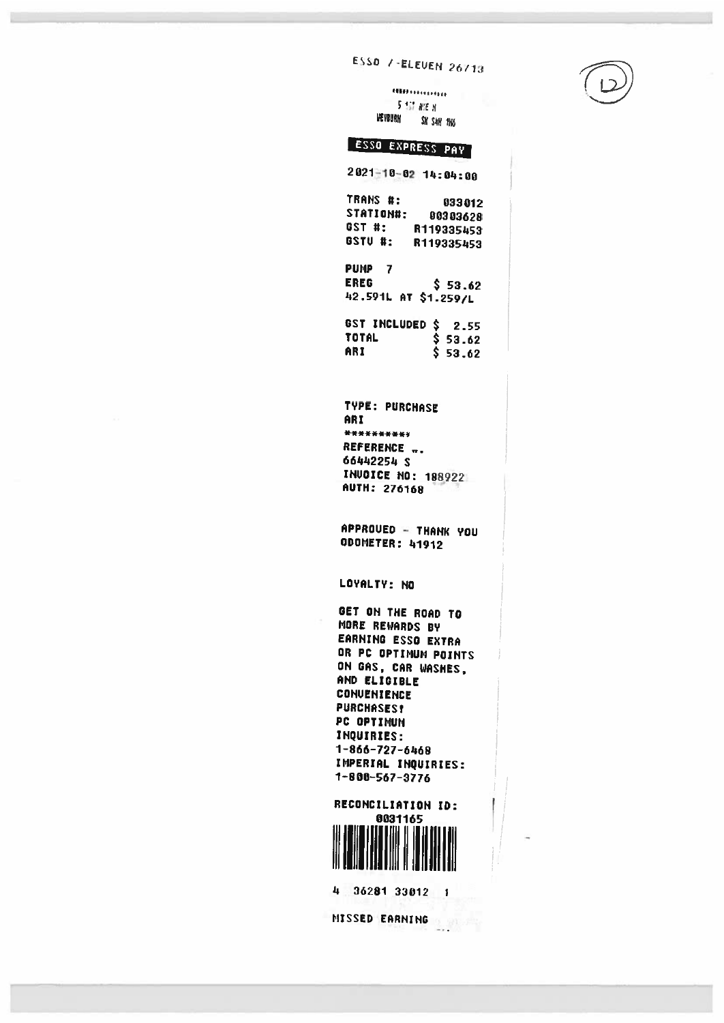# ESSO /-ELEVEN 26713

**CHEMISTERS** 5 STORE N **LIEVBURN** SK S4H 1N6

# ESSO EXPRESS PAY

 $2021 - 10 - 02$  14:04:00

TRANS #: 033012 STATION#: 00303628 GST #: R119335453 GSTU #: R119335453

PUMP<sub>7</sub> **EREG**  $$53.62$ 42.591L AT \$1.259/L

GST INCLUDED \$ 2.55 TOTAL \$ 53.62 ARI  $$53.62$ 

**TYPE: PURCHASE** ARI \*\*\*\*\*\*\*\*\*\* REFERENCE .. 66442254 \$ **INVOICE NO: 188922 AUTH: 276168** 

APPROUED - THANK YOU **ODOMETER: 41912** 

LOYALTY: NO

GET ON THE ROAD TO MORE REWARDS BY EARNING ESSO EXTRA OR PC OPTIMUM POINTS ON GAS, CAR WASHES, AND ELIGIBLE **CONVENIENCE PURCHASES!** PC OPTIMUM INQUIRIES: 1-866-727-6468 IMPERIAL INQUIRIES:  $1 - 800 - 567 - 3776$ 

RECONCILIATION ID: 0031165

4 36281 33812 1

MISSED EARNING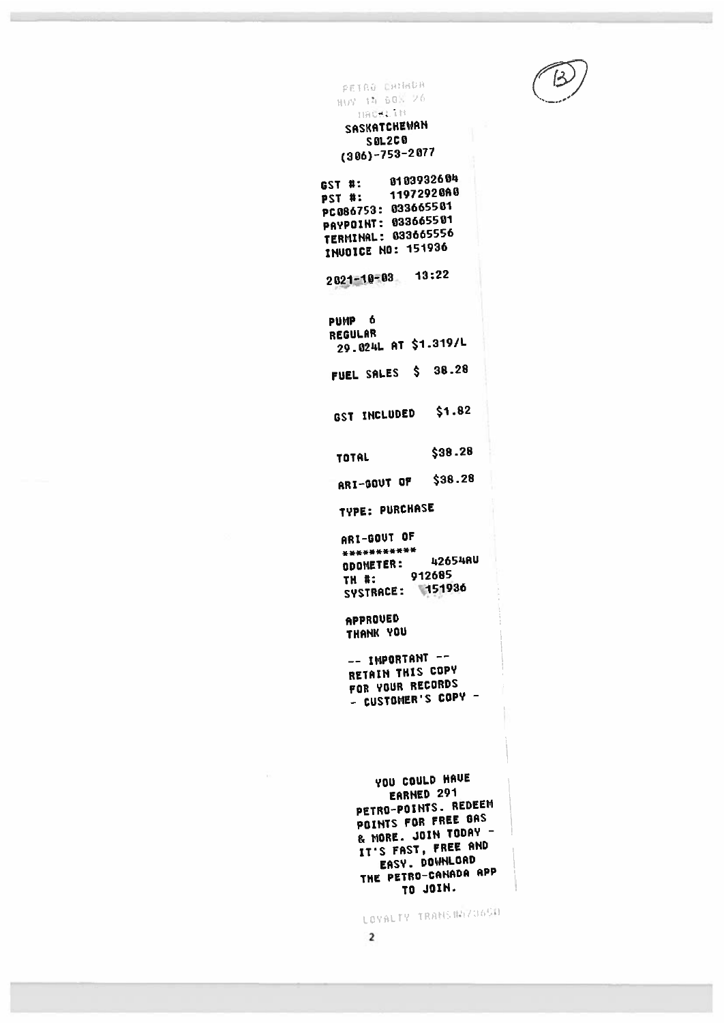PEIRO CHNHOR HUY 14 60% 26 HACKLIN SASKATCHEWAN

**SOL2C0**  $(306) - 753 - 2077$ 

8103932604 **GST #:** 11972928A8 **PST #:** PC086753: 033665501 PAYPOINT: 033665501 **TERMINAL: 033665556** INUDICE NO: 151936

 $2021 - 10 - 03$  13:22

PUMP<sub>6</sub> **REGULAR** 29.024L AT \$1.319/L FUEL SALES \$ 38.28

 $$1.82$ GST INCLUDED

 $$38.28$ **TOTAL** 

\$38.28 ARI-GOUT OF

**TYPE: PURCHASE** 

ARI-GOUT OF \*\*\*\*\*\*\*\*\*\*\* 42654AU **ODOMETER:** 912685 TH #: SYSTRACE: 151936

APPROVED THANK YOU

-- IMPORTANT --RETAIN THIS COPY FOR YOUR RECORDS - CUSTOMER'S COPY -

YOU COULD HAVE EARNED 291 PETRO-POINTS. REDEEM POINTS FOR FREE GAS & MORE. JOIN TODAY -IT'S FAST, FREE AND EASY. DOWNLOAD THE PETRO-CANADA APP TO JOIN.

LOYALTY TRAHS #47365#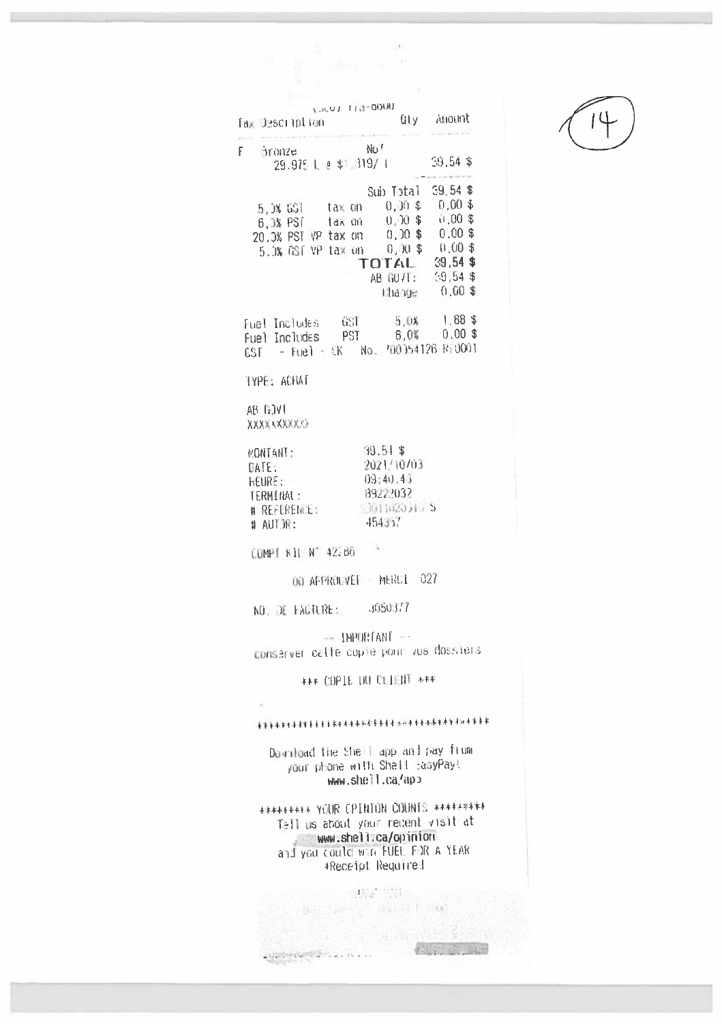|                                                                                                                                                                                                                                                                                      | $\underline{\Pi} = \Xi_{\mu} - 1$ at<br>$a_{\text{max}} = a^{-1}$                                                                                                                                           |  |  |  |  |
|--------------------------------------------------------------------------------------------------------------------------------------------------------------------------------------------------------------------------------------------------------------------------------------|-------------------------------------------------------------------------------------------------------------------------------------------------------------------------------------------------------------|--|--|--|--|
| UU00-611 LUJUJ<br>Tax Description<br>$\label{eq:1} \mathbf{P}(\mathbf{r},\mathbf{r}) = \mathbf{P}(\mathbf{r},\mathbf{r}) = \left\{ \begin{array}{ll} \mathbf{P}(\mathbf{r},\mathbf{r}) \in \mathbb{R}^3, \\ \mathbf{P}(\mathbf{r},\mathbf{r}) \in \mathbb{R}^3, \end{array} \right.$ | Gly Anount                                                                                                                                                                                                  |  |  |  |  |
| F Bronze<br>29.975 L e \$1.319/T                                                                                                                                                                                                                                                     | $NQ^T$<br>$59,54$ \$                                                                                                                                                                                        |  |  |  |  |
|                                                                                                                                                                                                                                                                                      | Sub Total 39,54 \$<br>5,0% GST tax on 0,00\$ 0,00\$<br>6,0% PST tax on 0,00\$ 0,00\$<br>20.0% PST VP tax on 0,00 \$ 0.00 \$<br>5.0% GSF VP tax on 0,00 \$ 0.00 \$<br>AB GO/T: 59,54 \$<br>thange $-0.00$ \$ |  |  |  |  |
|                                                                                                                                                                                                                                                                                      | Fuel Includes - GST - 5,0% - 1,88 \$<br>Fuel Includes - PST - 6,0% - 0,00 \$<br>$CST - Fuel - EX$ No. $700364126$ R $10001$                                                                                 |  |  |  |  |
| TYPE: ACHAT                                                                                                                                                                                                                                                                          |                                                                                                                                                                                                             |  |  |  |  |
| AB GOVI                                                                                                                                                                                                                                                                              |                                                                                                                                                                                                             |  |  |  |  |
| $39.51$ \$<br>MONTANT :<br>2021/10/03<br>DATE:<br>09:40:45<br>HEURE:<br>89222032<br>TERMINAL:<br><b>SUITAROJIO S</b><br># REFLERENCE:<br>454357<br># AUTOR:                                                                                                                          |                                                                                                                                                                                                             |  |  |  |  |
| COMPI KIL N° 42286                                                                                                                                                                                                                                                                   |                                                                                                                                                                                                             |  |  |  |  |
|                                                                                                                                                                                                                                                                                      | 00 AFPROLIVEL - MERCI 027                                                                                                                                                                                   |  |  |  |  |
| NO. DE FACTURE: 3050377                                                                                                                                                                                                                                                              |                                                                                                                                                                                                             |  |  |  |  |
|                                                                                                                                                                                                                                                                                      | -- IMPORTANT --<br>conserver catte copie pour vus dossiers                                                                                                                                                  |  |  |  |  |
|                                                                                                                                                                                                                                                                                      | <b>*** COPIE DU CLIENT +**</b>                                                                                                                                                                              |  |  |  |  |
| $\mathcal{A}$                                                                                                                                                                                                                                                                        | - 希望來水台生本水水屋屋里去去不不不不不打去洗水是水动着去洗洗水的水道不再看去来。                                                                                                                                                                  |  |  |  |  |
| Download the Shell app and pay from<br>your phone with Shall EasyPay!<br>www.shell.ca/app                                                                                                                                                                                            |                                                                                                                                                                                                             |  |  |  |  |
| <b>######### YOUR CPINTON COUNTS ##########</b><br>Tell us about your recent visit at<br>www.shell.ca/opinion                                                                                                                                                                        |                                                                                                                                                                                                             |  |  |  |  |

and you could win FUEL FOR A YEAR. 

 $\label{eq:2.1} \begin{split} \mathcal{O}(d) = & \mathcal{O}(d) = \mathcal{O}(d) \,,\\ \mathcal{O}(d) = & \mathcal{O}(d) = \mathcal{O}(d) \,,\\ \mathcal{O}(d) = & \mathcal{O}(d) = \mathcal{O}(d) \,,\\ \mathcal{O}(d) = & \mathcal{O}(d) = \mathcal{O}(d) \,,\\ \mathcal{O}(d) = & \mathcal{O}(d) = \mathcal{O}(d) \,,\\ \mathcal{O}(d) = & \mathcal{O}(d) = \mathcal{O}(d) \,,\\ \mathcal{O}(d) = & \mathcal{O}(d) = \mathcal{O}(d$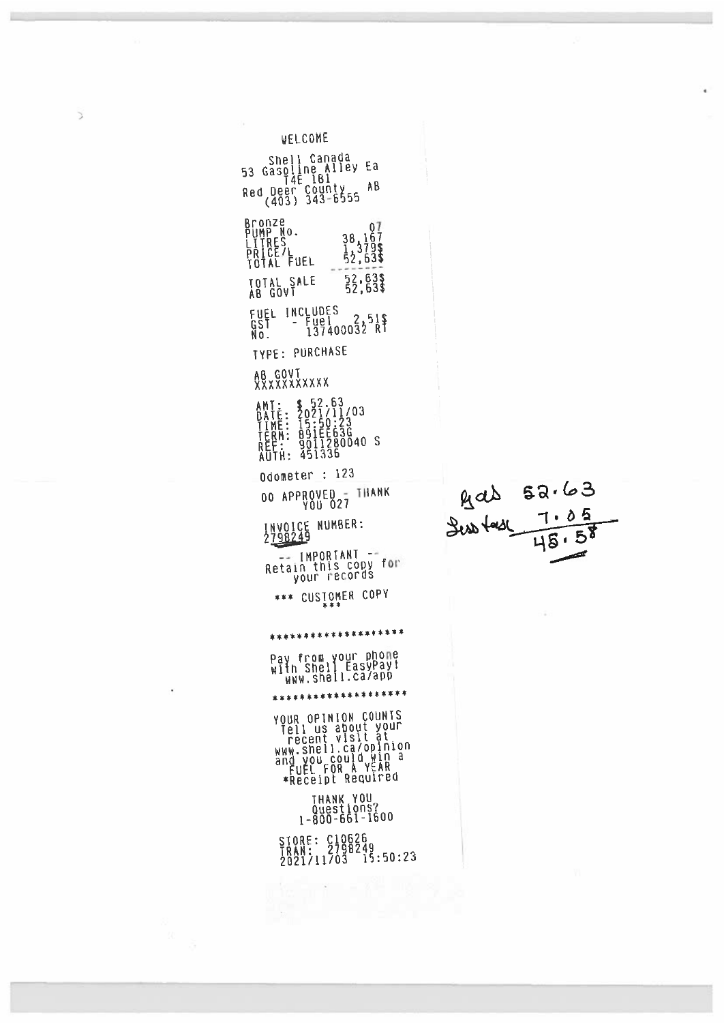| WELCOME                                                                                                                                                                                                                                                                                                 |           |
|---------------------------------------------------------------------------------------------------------------------------------------------------------------------------------------------------------------------------------------------------------------------------------------------------------|-----------|
| Shell Canada<br>Еâ<br>Găsoline Alley<br>53<br>AВ<br>Red Deer County<br>(403) 343-6555                                                                                                                                                                                                                   |           |
| Bronze<br>01<br>PUMP No.<br>$\frac{38}{12}$ $\frac{167}{379}$<br>$52,63$<br>PUME<br>LITRES<br>PRICE/L<br>PATAL FUEL<br>52,63\$<br>TOTAL SALE<br>AB GŌVĪ<br>INCLUDES<br>FUEL<br>Fuel 2,51\$<br>GŠĪ<br>$\overline{\phantom{a}}$<br>N٥.<br><b>TYPE: PURCHASE</b><br><b>AB GOVT<br/>XXXXXXXXXXX</b><br>AMT: |           |
| \$ 52.63<br>2021/11/03<br>15:50:23<br>0911280040<br>9011280040<br>451336<br>ATÉ:<br>IME:<br>ERM:<br>D<br>ţ<br>-S<br>ŔĒ<br>TH:<br>AU                                                                                                                                                                     |           |
| Odometer : 123<br>APPROVED = THANK                                                                                                                                                                                                                                                                      |           |
| 00<br>YŎU <sup>-</sup> Ô27                                                                                                                                                                                                                                                                              | gas 52.63 |
| INVOICE NUMBER:<br>2798249                                                                                                                                                                                                                                                                              |           |
| IMPORTANT -<br>Retain this copy for<br>your records                                                                                                                                                                                                                                                     |           |
| CUSTOMER COPY<br>***<br>***                                                                                                                                                                                                                                                                             |           |
| ********************                                                                                                                                                                                                                                                                                    |           |
| Pay from your phone<br>with Shell EasyPay!<br>WWW.shell.ca/app                                                                                                                                                                                                                                          |           |
| ********************                                                                                                                                                                                                                                                                                    |           |
| <b>YOUR OPINION COUNTS</b><br>Tell us about your<br>recent visit at<br>WWW.shell.ca/opinion<br>ang you could win a<br>FUEL FOR A YEAR<br>*Receipt Required                                                                                                                                              |           |
| <b>THANK YOU</b><br>Ouestions?<br>1-800-661-1600                                                                                                                                                                                                                                                        |           |
| STORE: C10626<br>TRAN: 2798249<br>2021/11/03 15:50:23                                                                                                                                                                                                                                                   | ٧١        |
|                                                                                                                                                                                                                                                                                                         |           |

å,

 $\bar{z}$